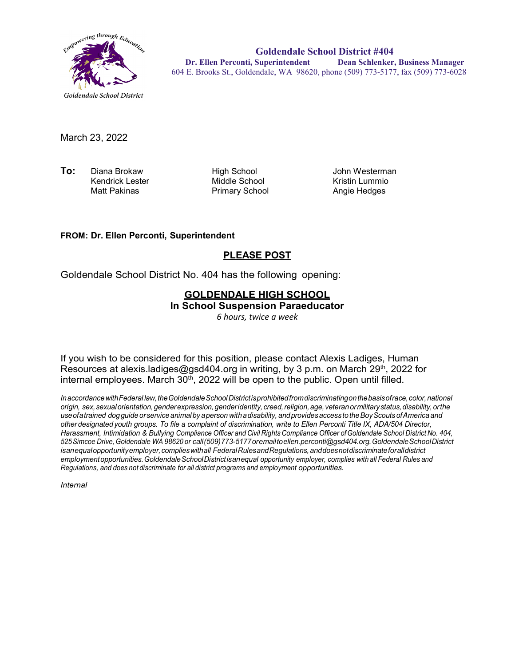

**Goldendale School District #404 Dr. Ellen Perconti, Superintendent Dean Schlenker, Business Manager** 604 E. Brooks St., Goldendale, WA 98620, phone (509) 773-5177, fax (509) 773-6028

March 23, 2022

**To:** Diana Brokaw High School John Westerman Kendrick Lester **Middle School**<br>Matt Pakinas **Middle School** Kristin Lummio

Primary School

#### **FROM: Dr. Ellen Perconti, Superintendent**

#### **PLEASE POST**

Goldendale School District No. 404 has the following opening:

## **GOLDENDALE HIGH SCHOOL**

**In School Suspension Paraeducator**

*6 hours, twice a week*

If you wish to be considered for this position, please contact Alexis Ladiges, Human Resources at alexis.ladiges@gsd404.org in writing, by 3 p.m. on March 29<sup>th</sup>, 2022 for internal employees. March  $30<sup>th</sup>$ , 2022 will be open to the public. Open until filled.

*InaccordancewithFederal law,theGoldendaleSchoolDistrictisprohibitedfromdiscriminatingonthebasisofrace,color,national origin, sex,sexualorientation,genderexpression,genderidentity, creed,religion,age, veteranormilitarystatus,disability, orthe useofatrained dogguide orservice animal by aperson withadisability, andprovidesaccess totheBoyScouts ofAmerica and other designated youth groups. To file a complaint of discrimination, write to Ellen Perconti Title IX, ADA/504 Director, Harassment, Intimidation & Bullying Compliance Officer and Civil Rights Compliance Officer ofGoldendale School District No. 404, 525Simcoe Drive, Goldendale WA 98620 or call(509)773-5177oremailt[oellen.perconti@gsd404.org.G](mailto:ellen.perconti@gsd404.org)oldendaleSchoolDistrict isanequalopportunityemployer,complieswithall FederalRulesandRegulations,anddoesnotdiscriminateforalldistrict employmentopportunities.GoldendaleSchoolDistrictisanequal opportunity employer, complies with all Federal Rules and Regulations, and does not discriminate for all district programs and employment opportunities.*

*Internal*